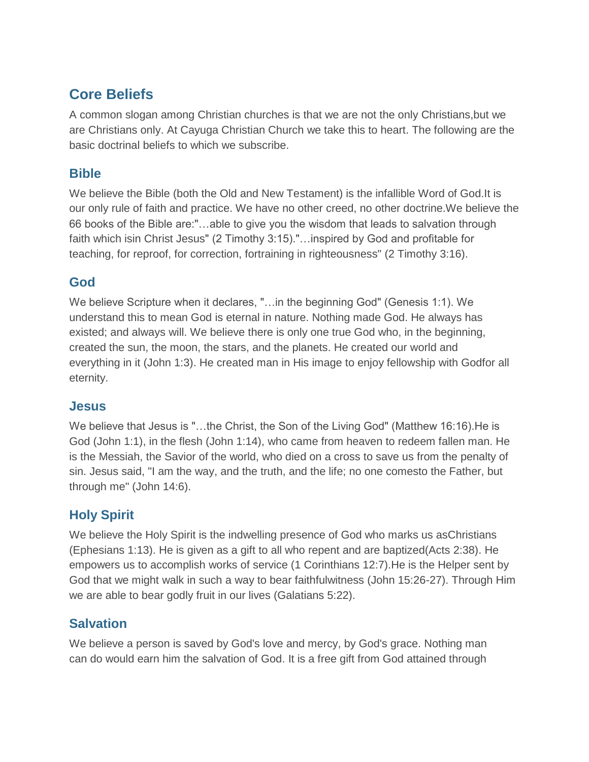# **Core Beliefs**

A common slogan among Christian churches is that we are not the only Christians,but we are Christians only. At Cayuga Christian Church we take this to heart. The following are the basic doctrinal beliefs to which we subscribe.

#### **Bible**

We believe the Bible (both the Old and New Testament) is the infallible Word of God.It is our only rule of faith and practice. We have no other creed, no other doctrine.We believe the 66 books of the Bible are:"…able to give you the wisdom that leads to salvation through faith which isin Christ Jesus" (2 Timothy 3:15)."…inspired by God and profitable for teaching, for reproof, for correction, fortraining in righteousness" (2 Timothy 3:16).

#### **God**

We believe Scripture when it declares, "…in the beginning God" (Genesis 1:1). We understand this to mean God is eternal in nature. Nothing made God. He always has existed; and always will. We believe there is only one true God who, in the beginning, created the sun, the moon, the stars, and the planets. He created our world and everything in it (John 1:3). He created man in His image to enjoy fellowship with Godfor all eternity.

## **Jesus**

We believe that Jesus is "…the Christ, the Son of the Living God" (Matthew 16:16).He is God (John 1:1), in the flesh (John 1:14), who came from heaven to redeem fallen man. He is the Messiah, the Savior of the world, who died on a cross to save us from the penalty of sin. Jesus said, "I am the way, and the truth, and the life; no one comesto the Father, but through me" (John 14:6).

# **Holy Spirit**

We believe the Holy Spirit is the indwelling presence of God who marks us asChristians (Ephesians 1:13). He is given as a gift to all who repent and are baptized(Acts 2:38). He empowers us to accomplish works of service (1 Corinthians 12:7).He is the Helper sent by God that we might walk in such a way to bear faithfulwitness (John 15:26-27). Through Him we are able to bear godly fruit in our lives (Galatians 5:22).

## **Salvation**

We believe a person is saved by God's love and mercy, by God's grace. Nothing man can do would earn him the salvation of God. It is a free gift from God attained through